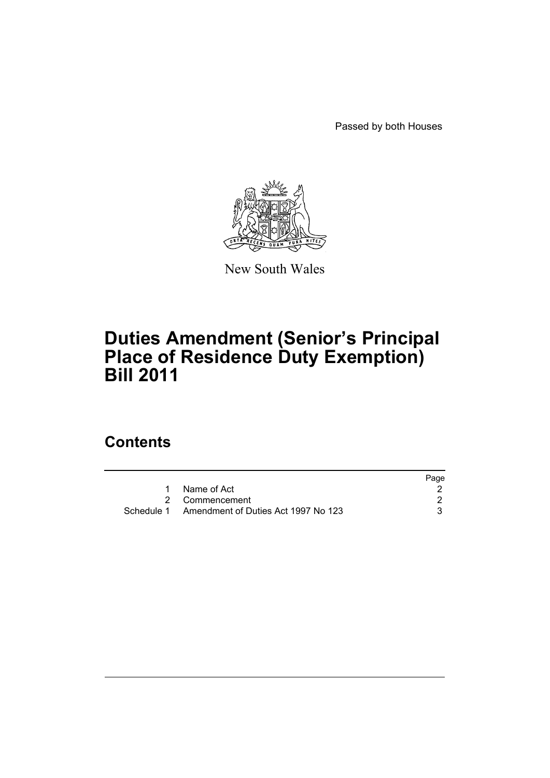Passed by both Houses



New South Wales

# **Duties Amendment (Senior's Principal Place of Residence Duty Exemption) Bill 2011**

### **Contents**

|                                                | Page |
|------------------------------------------------|------|
| Name of Act                                    |      |
| 2 Commencement                                 |      |
| Schedule 1 Amendment of Duties Act 1997 No 123 |      |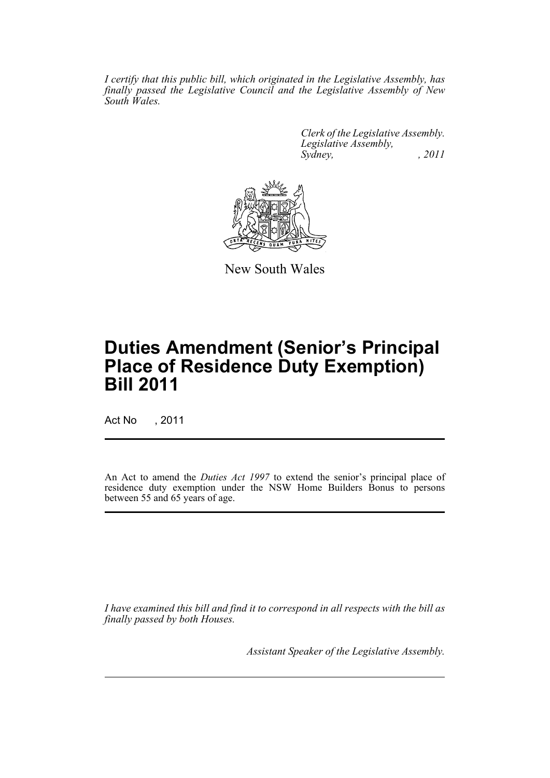*I certify that this public bill, which originated in the Legislative Assembly, has finally passed the Legislative Council and the Legislative Assembly of New South Wales.*

> *Clerk of the Legislative Assembly. Legislative Assembly, Sydney, , 2011*



New South Wales

# **Duties Amendment (Senior's Principal Place of Residence Duty Exemption) Bill 2011**

Act No , 2011

An Act to amend the *Duties Act 1997* to extend the senior's principal place of residence duty exemption under the NSW Home Builders Bonus to persons between 55 and 65 years of age.

*I have examined this bill and find it to correspond in all respects with the bill as finally passed by both Houses.*

*Assistant Speaker of the Legislative Assembly.*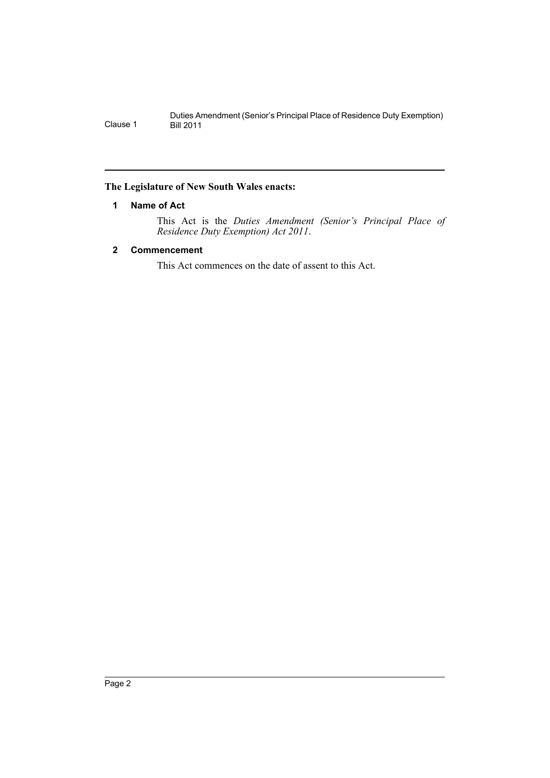#### <span id="page-3-0"></span>**The Legislature of New South Wales enacts:**

#### **1 Name of Act**

This Act is the *Duties Amendment (Senior's Principal Place of Residence Duty Exemption) Act 2011*.

#### <span id="page-3-1"></span>**2 Commencement**

This Act commences on the date of assent to this Act.